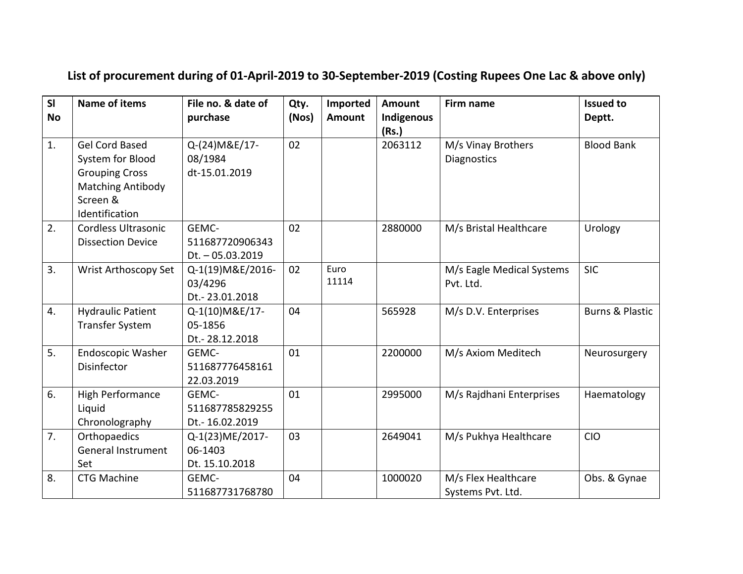## **List of procurement during of 01-April-2019 to 30-September-2019 (Costing Rupees One Lac & above only)**

| SI        | <b>Name of items</b>      | File no. & date of | Qty.  | Imported      | <b>Amount</b> | Firm name                 | <b>Issued to</b>           |
|-----------|---------------------------|--------------------|-------|---------------|---------------|---------------------------|----------------------------|
| <b>No</b> |                           | purchase           | (Nos) | <b>Amount</b> | Indigenous    |                           | Deptt.                     |
|           |                           |                    |       |               | (Rs.)         |                           |                            |
| 1.        | <b>Gel Cord Based</b>     | Q-(24) M&E/17-     | 02    |               | 2063112       | M/s Vinay Brothers        | <b>Blood Bank</b>          |
|           | System for Blood          | 08/1984            |       |               |               | <b>Diagnostics</b>        |                            |
|           | <b>Grouping Cross</b>     | dt-15.01.2019      |       |               |               |                           |                            |
|           | <b>Matching Antibody</b>  |                    |       |               |               |                           |                            |
|           | Screen &                  |                    |       |               |               |                           |                            |
|           | Identification            |                    |       |               |               |                           |                            |
| 2.        | Cordless Ultrasonic       | GEMC-              | 02    |               | 2880000       | M/s Bristal Healthcare    | Urology                    |
|           | <b>Dissection Device</b>  | 511687720906343    |       |               |               |                           |                            |
|           |                           | $Dt. - 05.03.2019$ |       |               |               |                           |                            |
| 3.        | Wrist Arthoscopy Set      | Q-1(19) M&E/2016-  | 02    | Euro          |               | M/s Eagle Medical Systems | <b>SIC</b>                 |
|           |                           | 03/4296            |       | 11114         |               | Pvt. Ltd.                 |                            |
|           |                           | Dt. - 23.01.2018   |       |               |               |                           |                            |
| 4.        | <b>Hydraulic Patient</b>  | Q-1(10) M&E/17-    | 04    |               | 565928        | M/s D.V. Enterprises      | <b>Burns &amp; Plastic</b> |
|           | <b>Transfer System</b>    | 05-1856            |       |               |               |                           |                            |
|           |                           | Dt. - 28.12.2018   |       |               |               |                           |                            |
| 5.        | Endoscopic Washer         | GEMC-              | 01    |               | 2200000       | M/s Axiom Meditech        | Neurosurgery               |
|           | Disinfector               | 511687776458161    |       |               |               |                           |                            |
|           |                           | 22.03.2019         |       |               |               |                           |                            |
| 6.        | High Performance          | GEMC-              | 01    |               | 2995000       | M/s Rajdhani Enterprises  | Haematology                |
|           | Liquid                    | 511687785829255    |       |               |               |                           |                            |
|           | Chronolography            | Dt. - 16.02.2019   |       |               |               |                           |                            |
| 7.        | Orthopaedics              | Q-1(23)ME/2017-    | 03    |               | 2649041       | M/s Pukhya Healthcare     | <b>CIO</b>                 |
|           | <b>General Instrument</b> | 06-1403            |       |               |               |                           |                            |
|           | Set                       | Dt. 15.10.2018     |       |               |               |                           |                            |
| 8.        | <b>CTG Machine</b>        | GEMC-              | 04    |               | 1000020       | M/s Flex Healthcare       | Obs. & Gynae               |
|           |                           | 511687731768780    |       |               |               | Systems Pvt. Ltd.         |                            |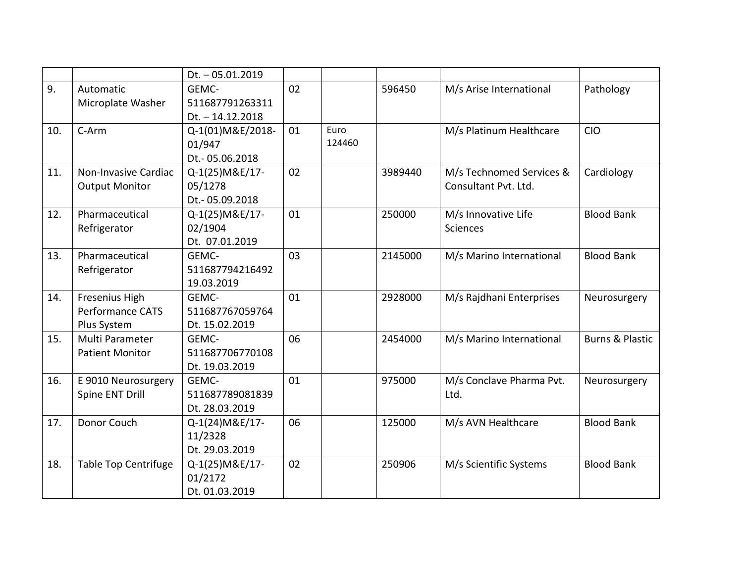|     |                             | $Dt. - 05.01.2019$ |    |        |         |                          |                            |
|-----|-----------------------------|--------------------|----|--------|---------|--------------------------|----------------------------|
| 9.  | Automatic                   | GEMC-              | 02 |        | 596450  | M/s Arise International  | Pathology                  |
|     | Microplate Washer           | 511687791263311    |    |        |         |                          |                            |
|     |                             | $Dt. - 14.12.2018$ |    |        |         |                          |                            |
| 10. | $C-Arm$                     | Q-1(01)M&E/2018-   | 01 | Euro   |         | M/s Platinum Healthcare  | <b>CIO</b>                 |
|     |                             | 01/947             |    | 124460 |         |                          |                            |
|     |                             | Dt. - 05.06.2018   |    |        |         |                          |                            |
| 11. | Non-Invasive Cardiac        | Q-1(25) M&E/17-    | 02 |        | 3989440 | M/s Technomed Services & | Cardiology                 |
|     | <b>Output Monitor</b>       | 05/1278            |    |        |         | Consultant Pvt. Ltd.     |                            |
|     |                             | Dt. - 05.09.2018   |    |        |         |                          |                            |
| 12. | Pharmaceutical              | Q-1(25) M&E/17-    | 01 |        | 250000  | M/s Innovative Life      | <b>Blood Bank</b>          |
|     | Refrigerator                | 02/1904            |    |        |         | <b>Sciences</b>          |                            |
|     |                             | Dt. 07.01.2019     |    |        |         |                          |                            |
| 13. | Pharmaceutical              | GEMC-              | 03 |        | 2145000 | M/s Marino International | <b>Blood Bank</b>          |
|     | Refrigerator                | 511687794216492    |    |        |         |                          |                            |
|     |                             | 19.03.2019         |    |        |         |                          |                            |
| 14. | Fresenius High              | GEMC-              | 01 |        | 2928000 | M/s Rajdhani Enterprises | Neurosurgery               |
|     | Performance CATS            | 511687767059764    |    |        |         |                          |                            |
|     | Plus System                 | Dt. 15.02.2019     |    |        |         |                          |                            |
| 15. | Multi Parameter             | GEMC-              | 06 |        | 2454000 | M/s Marino International | <b>Burns &amp; Plastic</b> |
|     | <b>Patient Monitor</b>      | 511687706770108    |    |        |         |                          |                            |
|     |                             | Dt. 19.03.2019     |    |        |         |                          |                            |
| 16. | E 9010 Neurosurgery         | GEMC-              | 01 |        | 975000  | M/s Conclave Pharma Pvt. | Neurosurgery               |
|     | Spine ENT Drill             | 511687789081839    |    |        |         | Ltd.                     |                            |
|     |                             | Dt. 28.03.2019     |    |        |         |                          |                            |
| 17. | Donor Couch                 | Q-1(24) M&E/17-    | 06 |        | 125000  | M/s AVN Healthcare       | <b>Blood Bank</b>          |
|     |                             | 11/2328            |    |        |         |                          |                            |
|     |                             | Dt. 29.03.2019     |    |        |         |                          |                            |
| 18. | <b>Table Top Centrifuge</b> | Q-1(25) M&E/17-    | 02 |        | 250906  | M/s Scientific Systems   | <b>Blood Bank</b>          |
|     |                             | 01/2172            |    |        |         |                          |                            |
|     |                             | Dt. 01.03.2019     |    |        |         |                          |                            |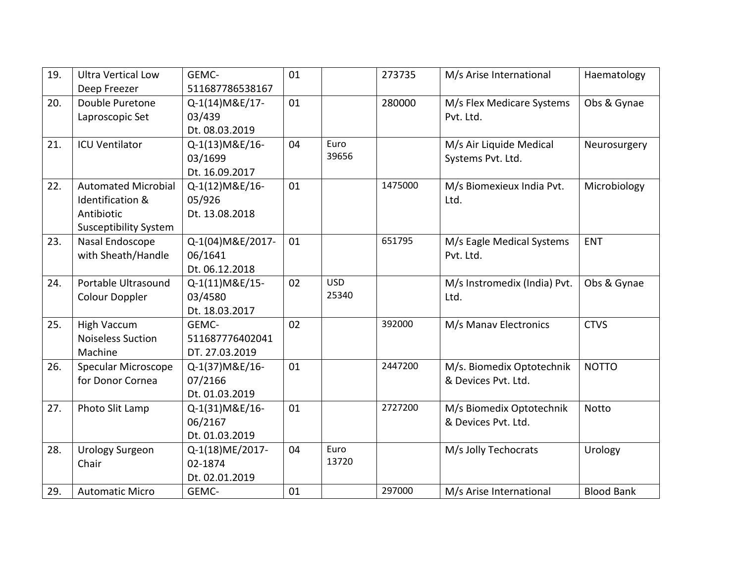| 19. | <b>Ultra Vertical Low</b>    | GEMC-             | 01 |            | 273735  | M/s Arise International      | Haematology       |
|-----|------------------------------|-------------------|----|------------|---------|------------------------------|-------------------|
|     | Deep Freezer                 | 511687786538167   |    |            |         |                              |                   |
| 20. | Double Puretone              | Q-1(14) M&E/17-   | 01 |            | 280000  | M/s Flex Medicare Systems    | Obs & Gynae       |
|     | Laproscopic Set              | 03/439            |    |            |         | Pvt. Ltd.                    |                   |
|     |                              | Dt. 08.03.2019    |    |            |         |                              |                   |
| 21. | <b>ICU Ventilator</b>        | Q-1(13) M&E/16-   | 04 | Euro       |         | M/s Air Liquide Medical      | Neurosurgery      |
|     |                              | 03/1699           |    | 39656      |         | Systems Pvt. Ltd.            |                   |
|     |                              | Dt. 16.09.2017    |    |            |         |                              |                   |
| 22. | <b>Automated Microbial</b>   | Q-1(12) M&E/16-   | 01 |            | 1475000 | M/s Biomexieux India Pvt.    | Microbiology      |
|     | Identification &             | 05/926            |    |            |         | Ltd.                         |                   |
|     | Antibiotic                   | Dt. 13.08.2018    |    |            |         |                              |                   |
|     | <b>Susceptibility System</b> |                   |    |            |         |                              |                   |
| 23. | Nasal Endoscope              | Q-1(04) M&E/2017- | 01 |            | 651795  | M/s Eagle Medical Systems    | <b>ENT</b>        |
|     | with Sheath/Handle           | 06/1641           |    |            |         | Pvt. Ltd.                    |                   |
|     |                              | Dt. 06.12.2018    |    |            |         |                              |                   |
| 24. | Portable Ultrasound          | Q-1(11) M&E/15-   | 02 | <b>USD</b> |         | M/s Instromedix (India) Pvt. | Obs & Gynae       |
|     | Colour Doppler               | 03/4580           |    | 25340      |         | Ltd.                         |                   |
|     |                              | Dt. 18.03.2017    |    |            |         |                              |                   |
| 25. | <b>High Vaccum</b>           | GEMC-             | 02 |            | 392000  | M/s Manav Electronics        | <b>CTVS</b>       |
|     | <b>Noiseless Suction</b>     | 511687776402041   |    |            |         |                              |                   |
|     | Machine                      | DT. 27.03.2019    |    |            |         |                              |                   |
| 26. | Specular Microscope          | Q-1(37) M&E/16-   | 01 |            | 2447200 | M/s. Biomedix Optotechnik    | <b>NOTTO</b>      |
|     | for Donor Cornea             | 07/2166           |    |            |         | & Devices Pvt. Ltd.          |                   |
|     |                              | Dt. 01.03.2019    |    |            |         |                              |                   |
| 27. | Photo Slit Lamp              | Q-1(31) M&E/16-   | 01 |            | 2727200 | M/s Biomedix Optotechnik     | <b>Notto</b>      |
|     |                              | 06/2167           |    |            |         | & Devices Pvt. Ltd.          |                   |
|     |                              | Dt. 01.03.2019    |    |            |         |                              |                   |
| 28. | <b>Urology Surgeon</b>       | Q-1(18)ME/2017-   | 04 | Euro       |         | M/s Jolly Techocrats         | Urology           |
|     | Chair                        | 02-1874           |    | 13720      |         |                              |                   |
|     |                              | Dt. 02.01.2019    |    |            |         |                              |                   |
| 29. | <b>Automatic Micro</b>       | GEMC-             | 01 |            | 297000  | M/s Arise International      | <b>Blood Bank</b> |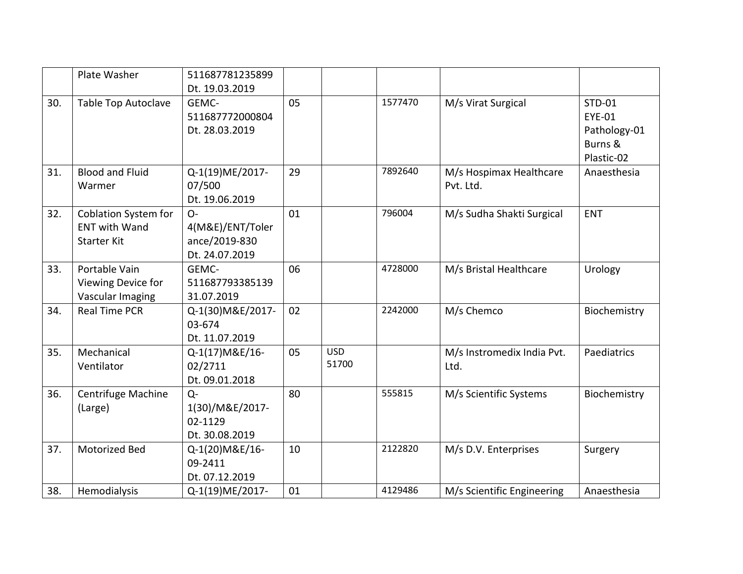|     | Plate Washer                                                              | 511687781235899                                              |    |                     |         |                                      |                                                           |
|-----|---------------------------------------------------------------------------|--------------------------------------------------------------|----|---------------------|---------|--------------------------------------|-----------------------------------------------------------|
|     |                                                                           | Dt. 19.03.2019                                               |    |                     |         |                                      |                                                           |
| 30. | <b>Table Top Autoclave</b>                                                | GEMC-<br>511687772000804<br>Dt. 28.03.2019                   | 05 |                     | 1577470 | M/s Virat Surgical                   | STD-01<br>EYE-01<br>Pathology-01<br>Burns &<br>Plastic-02 |
| 31. | <b>Blood and Fluid</b><br>Warmer                                          | Q-1(19)ME/2017-<br>07/500<br>Dt. 19.06.2019                  | 29 |                     | 7892640 | M/s Hospimax Healthcare<br>Pvt. Ltd. | Anaesthesia                                               |
| 32. | <b>Coblation System for</b><br><b>ENT with Wand</b><br><b>Starter Kit</b> | $O -$<br>4(M&E)/ENT/Toler<br>ance/2019-830<br>Dt. 24.07.2019 | 01 |                     | 796004  | M/s Sudha Shakti Surgical            | <b>ENT</b>                                                |
| 33. | Portable Vain<br>Viewing Device for<br>Vascular Imaging                   | GEMC-<br>511687793385139<br>31.07.2019                       | 06 |                     | 4728000 | M/s Bristal Healthcare               | Urology                                                   |
| 34. | <b>Real Time PCR</b>                                                      | Q-1(30) M&E/2017-<br>03-674<br>Dt. 11.07.2019                | 02 |                     | 2242000 | M/s Chemco                           | Biochemistry                                              |
| 35. | Mechanical<br>Ventilator                                                  | Q-1(17) M&E/16-<br>02/2711<br>Dt. 09.01.2018                 | 05 | <b>USD</b><br>51700 |         | M/s Instromedix India Pvt.<br>Ltd.   | Paediatrics                                               |
| 36. | Centrifuge Machine<br>(Large)                                             | $Q -$<br>1(30)/M&E/2017-<br>02-1129<br>Dt. 30.08.2019        | 80 |                     | 555815  | M/s Scientific Systems               | Biochemistry                                              |
| 37. | Motorized Bed                                                             | Q-1(20)M&E/16-<br>09-2411<br>Dt. 07.12.2019                  | 10 |                     | 2122820 | M/s D.V. Enterprises                 | Surgery                                                   |
| 38. | Hemodialysis                                                              | Q-1(19)ME/2017-                                              | 01 |                     | 4129486 | M/s Scientific Engineering           | Anaesthesia                                               |